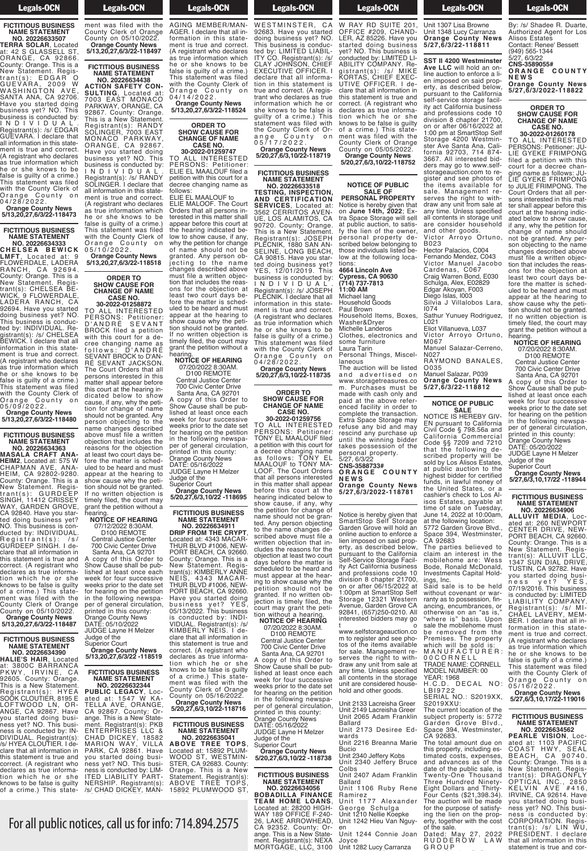# Legals-OCN

**FICTITIOUS BUSINESS NAME STATEMENT NO. 20226633507**

**TERRA SOLAR**, Located at: 42 S GLASSELL ST, ORANGE, CA 92866. County: Orange. This is a New Statement. Registrant(s): EDGAR O GUEVARA, 2009 W WASHINGTON AVE, SANTA ANA, CA 92706. Have you started doing business yet? NO. This business is conducted by: I N D I V I D U A L . Registrant(s): /s/ EDGAR GUEVARA. I declare that all information in this statement is true and correct. (A registrant who declares as true information which he or she knows to be false is guilty of a crime.) This statement was filed with the County Clerk of Orange County on 0 4 / 2 8 / 2 0 2 2 .

**Orange County News 5/13,20,27,6/3/22-118473**

## **FICTITIOUS BUSINESS NAME STATEMENT NO. 20226634333**

**C H E L S E A B E W I C K LMFT**, Located at: 9 FLOWERDALE, LADERA RANCH, CA 92694. County: Orange. This is a New Statement. Registrant(s): CHELSEA BE-WICK, 9 FLOWERDALE, LADERA RANCH, CA 92694. Have you started doing business yet? NO. This business is conducted by: INDIVIDUAL. Registrant(s): /s/ CHELSEA BEWICK. I declare that all information in this statement is true and correct. (A registrant who declares as true information which he or she knows to be false is guilty of a crime.) This statement was filed with the County Clerk of Orange County on 0 5 / 0 9 / 2 0 2 2 .

**Orange County News 5/13,20,27,6/3/22-118480**

## **FICTITIOUS BUSINESS NAME STATEMENT**

**NO. 20226634363 MASALA CRAFT ANA-HEIM2**, Located at: 575 W CHAPMAN AVE, ANA-HEIM, CA 92802-9280. County: Orange. This is a New Statement. Registrant(s): GURDEEP SINGH, 11412 CRISSEY WAY, GARDEN GROVE, CA 92840. Have you started doing business yet? NO. This business is conno. rms bushless is controlled by: INDIVIDUAL.<br>Registrant(s): /s/ Registrant(s): /s/ GURDEEP SINGH. I declare that all information in this statement is true and correct. (A registrant who declares as true information which he or she knows to be false is guilty of a crime.) This statement was filed with the County Clerk of Orange County on 05/10/2022. **Orange County News 5/13,20,27,6/3/22-118487**

# **FICTITIOUS BUSINESS NAME STATEMENT**

**NO. 20226634390 HALIE'S HAIR**, Located at: 3800C BARRANCA PKWY, IRVINE, CA 92605. County: Orange. This is a New Statement. Registrant(s): HYEA SOOK CLOUTIER, 8195 E LOFTWOOD LN, OR-ANGE, CA 92867. Have you started doing business yet? NO. This busi-<br>ness is conducted by: INness is conducted by: IN-DIVIDUAL. Registrant(s): /s/ HYEA CLOUTIER. I declare that all information in this statement is true and correct. (A registrant who declares as true information which he or she declares as the information<br>tion which he or she<br>knows to be false is guilty of a crime.) This state-

**Orange County News 5.5 For all nublic n** 

### **Legals-OCN**  $k = \frac{1}{2}$

of a crime.) This state-state-state-state-state-state-state-state-state-state-state-state-state-state-state-statement was filed with the County Clerk of Orange County on 05/10/2022. **Orange County News 5/13,20,27,6/3/22-118497**

## **FICTITIOUS BUSINESS NAME STATEMENT NO. 20226634438**

**ACTION SAFETY CON-SULTING**, Located at: 7003 EAST MONACO PARKWAY, ORANGE, CA 92867. County: Orange. This is a New Statement. Registrant(s): RANDY SOLINGER, 7003 EAST MONACO PARKWAY, ORANGE, CA 92867. Have you started doing business yet? NO. This business is conducted by: I N D I V I D U A L . Registrant(s): /s/ RANDY SOLINGER. I declare that all information in this statement is true and correct. (A registrant who declares as true information which he or she knows to be false is guilty of a crime.) This statement was filed with the County Clerk of Orange County on 0 5 / 1 0 / 2 0 2 2 .

**Orange County News 5/13,20,27,6/3/22-118518**

## **ORDER TO SHOW CAUSE FOR CHANGE OF NAME CASE NO.**

**30-2022-01258872** TO ALL INTERESTED PERSONS: Petitioner: D ' A N D R É S E V A N T BROCK filed a petition with this court for a decree changing name as follows: D'ANDRE SEVANT BROCK to D'AN-RÉ SEVANT JACKSON The Court Orders that all persons interested in this matter shall appear before this court at the hearing indicated below to show cause, if any, why the petition for change of name should not be granted. Any person objecting to the name changes described above must file a written objection that includes the reasons for the objection at least two court days before the matter is scheduled to be heard and must appear at the hearing to show cause why the petition should not be granted. If no written objection is timely filed, the court may rant the petition without a

# hearing. **NOTICE OF HEARING** 07/12/2022 8:30AM.

D100 REMOTE Central Justice Center 700 Civic Center Drive

Santa Ana, CA 92701 A copy of this Order to Show Cause shall be published at least once each week for four successive weeks prior to the date set for hearing on the petition in the following newspaper of general circulation, printed in this county: Orange County News DATE: 05/10/2022 JUDGE Layne H Melzer

# Judge of the Superior Court **Orange County News 5/13,20,27,6/3/22 -118519**

**FICTITIOUS BUSINESS NAME STATEMENT NO. 20226632344**

**PUBLIC LEGACY**, Located at: 1547 W KA-TELLA AVE, ORANGE, CA 92867. County: Orange. This is a New Statement. Registrant(s): PKB ENTERPRISES LLC & CHAD DICKEY, 18582 MARION WAY, VILLA CHAD DIONET,<br>MARION WAY, VILLA<br>PARK, CA 92861. Have you started doing business yet? NO. This business is conducted by: LIM-ITED LIABILITY PART-NERSHIP. Registrant(s):

For all public notices, call us for info: 714.894.2575

ices call us for inf  $\mathsf{R}$  as the internal which we have  $\mathsf{R}$ 

/s/ CHAD DICKEY, MAN-

/s/ CHAD DICKEY, MAN-AGING MEMBER/MAN-AGER. I declare that all information in this statement is true and correct. (A registrant who declares as true information which he or she knows to be false is guilty of a crime.) This statement was filed with the County Clerk of Orange County on 0 4 / 1 4 / 2 0 2 2 . **Orange County News**

**Legals-OCN**  $R_{\text{S}}$  Registrations in  $R_{\text{S}}$ 

**ORDER TO SHOW CAUSE FOR CHANGE OF NAME CASE NO. 30-2022-01259747**

**5/13,20,27,6/3/22-118524**

TO ALL INTERESTED PERSONS: Petitioner: ELIE EL MAALOUF filed a petition with this court for a decree changing name as follows:

ELIE EL MAALOUF to ELIE MALOOF. The Court Orders that all persons interested in this matter shall appear before this court at the hearing indicated below to show cause, if any, why the petition for change of name should not be granted. Any person objecting to the name changes described above must file a written objection that includes the reasons for the objection at least two court days before the matter is scheduled to be heard and must appear at the hearing to show cause why the petition should not be granted. If no written objection is timely filed, the court may

grant the petition without á<br>hearing hearing. **NOTICE OF HEARING** 07/20/2022 8:30AM. D100 REMOTE

Central Justice Center 700 Civic Center Drive Santa Ana, CA 92701

A copy of this Order to Show Cause shall be pub-A copy of the and be pub-<br>Show Cause shall be pub-<br>lished at least once each week for four successive weeks prior to the date set for hearing on the petition in the following newspaper of general circulation, printed in this county: Orange County News DATE: 05/16/2022 JUDGE Layne H Melzer

Judge of the Superior Court **Orange County News**

# **5/20,27,6/3,10/22 -118695 FICTITIOUS BUSINESS**

**NAME STATEMENT NO. 20226634911 DRIP FROM THE CRYPT**, Located at: 4343 MACAR-THUR BLVD #1006, NEW-<br>PORT BEACH. CA 92660 PORT BEACH, CA 92660. County: Orange. This is a New Statement. Registrant(s): KIMBERLY ANNE NEIS, 4343 MACAR-THUR BLVD #1006, NEW-PORT BEACH, CA 92660. Have you started doing business yet? YES, business yet? YES,<br>05/13/2022. This business is conducted by: INDI-VIDUAL. Registrant(s): /s/ KIMBERLY NEIS. I declare that all information in this statement is true and correct. (A registrant who declares as true information which he or she knows to be false is guilty of a crime.) This state-ment was filed with the County Clerk of Orange County on 05/16/2022. **Orange County News**

# **FICTITIOUS BUSINESS NAME STATEMENT NO. 20226635041**

**5/20,27,6/3,10/22-118716**

**ABOVE TREE TOPS**, Located at: 15892 PLUM-WOOD ST, WESTMIN-STER, CA 92683. County: Orange. This is a New Statement. Registrant(s): ABOVE TREE TOPS, 15892 PLUMWOOD ST,

ITY CO. Registrant(s): /s/

15892 PLUMWOOD ST, WESTMINSTER, CA 92683. Have you started doing business yet? NO. This business is conducted by: LIMITED LIABIL-ITY CO. Registrant(s): /s/ CLAY JOHNSON, CHIEF EXECUTIVE OFFICER. I declare that all information in this statement is true and correct. (A regis trant who declares as true information which he or she knows to be false is guilty of a crime.) This statement was filed with the County Clerk of Orange County on 0 5 / 1 7 / 2 0 2 2 . **Orange County News 5/20,27,6/3,10/22-118719**

**Example 1** Legals-OCN  $\overline{\phantom{a}}$ 

**FICTITIOUS BUSINESS NAME STATEMENT NO. 20226633518**

**TESTING, INSPECTION, AND CERTIFICATION SERVICES**, Located at: 3562 CERRITOS AVEN-UE, LOS ALAMITOS, CA 90720. County: Orange. This is a New Statement. Registrant(s): JOSEPH PLECNIK, 1880 SAN AN-SELINE, LONG BEACH, CA 90815. Have you started doing business yet? YES, 12/01/2019. This business is conducted by: I N D I V I D U A L . Registrant(s): /s/ JOSEPH PLECNIK. I declare that all information in this statement is true and correct. (A registrant who declares as true information which he or she knows to be false is guilty of a crime.) This statement was filed with the County Clerk of Orange County on

### 0 4 / 2 8 / 2 0 2 2 . **Orange County News 5/20,27,6/3,10/22-118735**

### **ORDER TO SHOW CAUSE FOR CHANGE OF NAME CASE NO.**

**30-2022-01259756** TO ALL INTERESTED PERSONS: Petitioner: TONY EL MAALOUF filed a petition with this court for a decree changing name as follows: TONY EL MAALOUF to TONY MA-LOOF. The Court Orders that all persons interested in this matter shall appear before this court at the hearing indicated below to show cause, if any, why the petition for change of name should not be granted. Any person objecting to the name changes described above must file a written objection that includes the reasons for the objection at least two court days before the matter is scheduled to be heard and must appear at the hearing to show cause why the petition should not be granted. If no written objection is timely filed, the court may grant the petition without a hearing. **NOTICE OF HEARING**

07/20/2022 8:30AM. D100 REMOTE

Central Justice Center 700 Civic Center Drive Santa Ana, CA 92701

A copy of this Order to Show Cause shall be published at least once each week for four successive reeks prior to the date for hearing on the petition in the following newspaper of general circulation, printed in this county: Orange County News DATE: 05/16/2022 JUDGE Layne H Melzer Judge of the Superior Court

**Orange County News 5/20,27,6/3,10/22 -118738**

**FICTITIOUS BUSINESS NAME STATEMENT NO. 20226634056**

**BOBADILLA FINANCE TEAM HOME LOANS**, Located at: 28200 HIGH-WAY 189 OFFICE F-240- 26, LAKE ARROWHEAD, CA 92352. County: Orange. This is a New Statement. Registrant(s): NEXA MORTGAGE, LLC, 3100

### **Example 18 Legals-OCN**  $\frac{20}{3}$  and  $\frac{20}{3}$

MORTGAGE, LLC, 3100 W RAY RD SUITE 201, OFFICE #209, CHAND-LER, AZ 85226. Have you started doing business yet? NO. This business is conducted by: LIMITED LI-ABILITY COMPANY. Registrant(s): /s/ MIKE KORTAS, CHIEF EXEC-UTIVE OFFICER. I declare that all information in this statement is true and correct. (A registrant who declares as true information which he or she knows to be false is guilty of a crime.) This statement was filed with the County Clerk of Orange County on 05/05/2022. **Orange County News 5/20,27,6/3,10/22-118752**

### **NOTICE OF PUBLIC SALE OF PERSONAL PROPERTY**

Notice is hereby given that on **June 14th, 2022**; Extra Space Storage will sell at public auction, to satisfy the lien of the owner, personal property described below belonging to those individuals listed below at the following loca-

tions: **4664 Lincoln Ave Cypress, CA 90630 (714) 737-7813**

**11:00 AM** Michael lang

Household Goods

Paul Brown Household Items, Boxes,

Washer&Dryer

Michelle Landeros Clothes, electronics and some furniture

Laura Tarin

Personal Things, Miscellaneous

The auction will be listed and advertised on www.storagetreasures.co m. Purchases must be made with cash only and paid at the above referenced facility in order to complete the transaction. Extra Space Storage may refuse any bid and may rescind any purchase up until the winning bidder takes possession of the personal property.

5/27, 6/3/22 **CNS-3588733# O R A N G E C O U N T Y N E W S Orange County News 5/27,6/3/2022-118781**

Notice is hereby given that SmartStop Self Storage Garden Grove will hold an online auction to enforce a lien imposed on said property, as described below, pursuant to the California Self-Service Storage Facility Act California business and professions code 10 division 8 chapter 21700, on or after 06/15/2022 at 1:00pm at SmartStop Self Storage 12321 Western Avenue, Garden Grove CA 92841, (657)250-0210. All interested bidders may go

t o www.selfstorageauction.co m to register and see photos of the items available for sale. Management reserves the right to withdraw any unit from sale at any time. Unless specified all contents in the storage unit are considered household and other goods.

Unit 2133 Lacreisha Greer Unit 2149 Lacreisha Greer Unit 2065 Adam Franklin Ballard

Unit 2173 Desiree Edwards unit 2216 Breanna Marie

Bucio<br>Unit 2340 Jeffery Kobs

Unit 2340 Jeffery Bruce Colbs

Unit 2407 Adam Franklin Ballard Unit 2.5<br>Ballard<br>Unit 1106 Ruby Rene

Ramirez Unit 1177 Alexander George Schulga

Unit 1210 Nellie Koepke Unit 1242 Hieu Van Nguyen

Unit 1244 Connie Joan Joyce Unit <sup>1282</sup> Lucy Carranza

### **Legals-OCN** Joyce

## Unit 1282 Lucy Carranza Lucy Carranza Lucy Carranza Lucy Carranza Lucy Carranza Lucy Carranza Lucy Carranza Lu Unit 1307 Lisa Browne Unit 1348 Lucy Carranza **Orange County News 5/27,6/3/22-118811**

**SST II 4200 Westminster Ave LLC** will hold an online auction to enforce a lien imposed on said property, as described below, pursuant to the California self-service storage facility act California business and professions code division 8 chapter 21700, on or after 06/16/2022 at 1:00 pm at SmartStop Self Storage 4200 Westminster Ave Santa Ana, California 92703, 714 874- 3667. All interested bidders may go to www.selfstorageauction.com to register and see photos of the items available for sale. Management reserves the right to withdraw any unit from sale at any time. Unless specified all contents in storage unit are consider household and other goods. Victor Arroyo Ortuno, B023

Hector Palacios, C004 Fernando Mendez, C043 Victor Manuel Jacobo Cardenas, C067 Craig Warren Bond, E030 Schulga, Alex, E02829 Edgar Akoyan, F003 Diego Islas, I003

Silvia J Villalobos Lara,  $1074$ 

Sathur Yunuey Rodriguez, L021 Eliot Villanueva, L037

Victor Arroyo Ortuno, M067

Manuel Salazar-Cerreno, N027

RAYMOND BANALES, O035

Manuel Salazar, P039 **Orange County News 5/27,6/3/22-118812**

# **NOTICE OF PUBLIC**

**SALE** NOTICE IS HEREBY GIV-EN pursuant to California Civil Code § 798.56a and California Commercial Code §§ 7209 and 7210 that the following described property will be sold by Los Alisos Estates, at public auction to the highest bidder for certified funds, in lawful money of the United States, or a cashier's check to Los Alisos Estates, payable at time of sale on Tuesday, June 14, 2022 at 10:00am, at the following location: 5772 Garden Grove Blvd., Space 394, Westminster, CA 92683

The parties believed to claim an interest in the mobilehome are: Wess Bode, Ronald McDonald, Investments Capital Holdings, Inc.

Said sale is to be held without covenant or warranty as to possession, financing, encumbrances, or otherwise on an "as is," "where is" basis. Upon sale the mobilehome must be removed from the Premises. The property which will be sold is: M A N U F A C T U R E R : 0 0 C O R N E L L TRADE NAME: CORNELL MODEL NUMBER: 00 YEAR: 1968

H.C.D. DECAL NO: L B I 9 7 2 2 SERIAL NO.: S2019XX,

S2019XXU: The current location of the<br>subject property is: 5772 subject property is: 5772 Garden Grove Blvd., Space 394, Westminster,

**PEARLE VISION**, Located at: 1103 PACIFIC COAST HWY, SEAL BEACH, CA 90740. County: Orange. This is a New Statement. Registrant(s): DRAGONFLY OPTICAL INC., 2850 KELVIN AVE #416, IRVINE, CA 92614. Have you started doing business yet? NO. This business is conducted by: CORPORATION. Registrant(s): /s/ LIN WU, PRESIDENT. I declare CA 92683. The total amount due on this property, including estimated costs, expenses, and advances as of the date of the public sale, is Twenty-One Thousand Three Hundred Ninety-Eight Dollars and Thirty-Four Cents (\$21,398.34). The auction will be made for the purpose of satisfying the lien on the property, together with the cost of the sale.

Dated: May 27, 2022 R U D D E R O W L A W G R O U P

**Legals-OCN** 

<u>Event</u> Cont G R O U P By: /s/ Shadee R. Duarte, Authorized Agent for Los Alisos Estates Contact: Renee' Bessett (949) 565-1344 5/27, 6/3/22 **CNS-3589055# O R A N G E C O U N T Y N E W S Orange County News 5/27,6/3/2022-118822**

> **ORDER TO SHOW CAUSE FOR CHANGE OF NAME CASE NO.**

**30-2022-01260178** TO ALL INTERESTED PERSONS: Petitioner: JU-LIE GYEKE FRIMPONG filed a petition with this court for a decree changing name as follows: JU-LIE GYEKE FRIMPONG LIE GYEKE FRIMPONG<br>to JULIE FRIMPONG. The Court Orders that all persons interested in this matter shall appear before this court at the hearing indicated below to show cause, if any, why the petition for change of name should not be granted. Any person objecting to the name changes described above must file a written objection that includes the reasons for the objection at least two court days before the matter is scheduled to be heard and must appear at the hearing to show cause why the petition should not be granted. If no written objection is timely filed, the court may grant the petition without a

hearing. **NOTICE OF HEARING**

07/20/2022 8:30AM. D100 REMOTE Central Justice Center

700 Civic Center Drive Santa Ana, CA 92701 A copy of this Order to Show Cause shall be published at least once each week for four successive weeks prior to the date set for hearing on the petition in the following newspa-

per of general circulation, printed in this county: Orange County News

DATE: 05/20/2022 JUDGE Layne H Melzer Judge of the Superior Court

0 5 / 1 6 / 2 0 2 2 . **Orange County News 5/27,6/3,10,17/22-119016**

**FICTITIOUS BUSINESS NAME STATEMENT NO. 20226634562**

that all information in this statement is true and cor-

**Orange County News 5/27,6/3,10,17/22 -118944 FICTITIOUS BUSINESS NAME STATEMENT NO. 20226634906 ALLUVIT MEDIA**, Located at: 260 NEWPORT CENTER DRIVE, NEW-PORT BEACH, CA 92660. County: Orange. This is a New Statement. Registrant(s): ALLUVIT LLC, 1347 SUN DIAL DRIVE, TUSTIN, CA 92782. Have you started doing business yet? YES, ness yet? YES<br>07/19/2016. This business is conducted by: LIMITED LIABILITY COMPANY. Registrant(s): /s/ MI-CHAEL LAVERY, MEM-BER. I declare that all information in this statement is true and correct. (A registrant who declares as true information which he or she knows to be false is guilty of a crime.) This statement was filed with the County Clerk of Orange County on